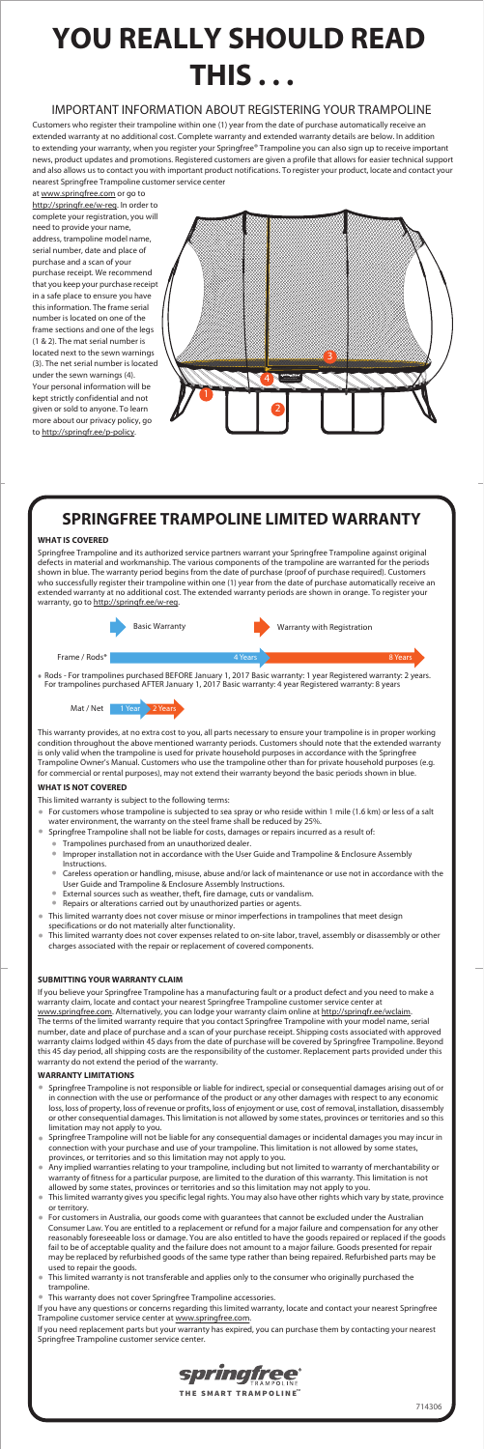## IMPORTANT INFORMATION ABOUT REGISTERING YOUR TRAMPOLINE

Customers who register their trampoline within one (1) year from the date of purchase automatically receive an extended warranty at no additional cost. Complete warranty and extended warranty details are below. In addition to extending your warranty, when you register your Springfree® Trampoline you can also sign up to receive important news, product updates and promotions. Registered customers are given a profile that allows for easier technical support and also allows us to contact you with important product notifications. To register your product, locate and contact your nearest Springfree Trampoline customer service center

Springfree Trampoline and its authorized service partners warrant your Springfree Trampoline against original defects in material and workmanship. The various components of the trampoline are warranted for the periods shown in blue. The warranty period begins from the date of purchase (proof of purchase required). Customers who successfully register their trampoline within one (1) year from the date of purchase automatically receive an extended warranty at no additional cost. The extended warranty periods are shown in orange. To register your warranty, go to http://springfr.ee/w-reg.

at www.springfree.com or go to http://springfr.ee/w-reg. In order to complete your registration, you will need to provide your name, address, trampoline model name, serial number, date and place of purchase and a scan of your purchase receipt. We recommend that you keep your purchase receipt in a safe place to ensure you have this information. The frame serial number is located on one of the frame sections and one of the legs (1 & 2). The mat serial number is located next to the sewn warnings (3). The net serial number is located under the sewn warnings (4). Your personal information will be kept strictly confidential and not given or sold to anyone. To learn more about our privacy policy, go to http://springfr.ee/p-policy.



# **SPRINGFREE TRAMPOLINE LIMITED WARRANTY**

### **WHAT IS COVERED**

If you have any questions or concerns regarding this limited warranty, locate and contact your nearest Springfree Trampoline customer service center at www.springfree.com.

# **YOU REALLY SHOULD READ THIS . . .**

### **SUBMITTING YOUR WARRANTY CLAIM**

If you believe your Springfree Trampoline has a manufacturing fault or a product defect and you need to make a warranty claim, locate and contact your nearest Springfree Trampoline customer service center at www.springfree.com. Alternatively, you can lodge your warranty claim online at http://springfr.ee/wclaim. The terms of the limited warranty require that you contact Springfree Trampoline with your model name, serial number, date and place of purchase and a scan of your purchase receipt. Shipping costs associated with approved warranty claimslodged within 45 daysfrom the date of purchase will be covered by Springfree Trampoline. Beyond this 45 day period, all shipping costs are the responsibility of the customer. Replacement parts provided under this warranty do not extend the period of the warranty.

- For customers whose trampoline is subjected to sea spray or who reside within 1 mile (1.6 km) or less of a salt water environment, the warranty on the steel frame shall be reduced by 25%.
- Springfree Trampoline shall not be liable for costs, damages or repairs incurred as a result of:
	- Trampolines purchased from an unauthorized dealer.
		-
	- Improper installation not in accordance with the User Guide and Trampoline & Enclosure Assembly Instructions.
	- Careless operation or handling, misuse, abuse and/or lack of maintenance or use not in accordance with the User Guide and Trampoline & Enclosure Assembly Instructions.  $\bullet$
	- External sources such as weather, theft, fire damage, cuts or vandalism.
	- Repairs or alterations carried out by unauthorized parties or agents.
- This limited warranty does not cover misuse or minor imperfections in trampolines that meet design specifications or do not materially alter functionality.
- This limited warranty does not cover expenses related to on-site labor, travel, assembly or disassembly or other charges associated with the repair or replacement of covered components.  $\bullet$

### **WARRANTY LIMITATIONS**

- Springfree Trampoline is not responsible or liable for indirect, special or consequential damages arising out of or in connection with the use or performance of the product or any other damages with respect to any economic loss, loss of property, loss of revenue or profits, loss of enjoyment or use, cost of removal, installation, disassembly or other consequential damages. Thislimitation is not allowed by some states, provinces or territories and so this limitation may not apply to you.
- Springfree Trampoline will not be liable for any consequential damages or incidental damages you may incur in connection with your purchase and use of your trampoline. This limitation is not allowed by some states, provinces, or territories and so this limitation may not apply to you.  $\bullet$
- Any implied warranties relating to your trampoline, including but not limited to warranty of merchantability or warranty of fitness for a particular purpose, are limited to the duration of this warranty. This limitation is not allowed by some states, provinces or territories and so this limitation may not apply to you.  $\bullet$
- Thislimited warranty gives you specific legal rights. You may also have other rights which vary by state, province or territory.  $\bullet$
- $\bullet$ For customers in Australia, our goods come with guarantees that cannot be excluded under the Australian Consumer Law. You are entitled to a replacement or refund for a major failure and compensation for any other reasonably foreseeable loss or damage. You are also entitled to have the goods repaired or replaced if the goods fail to be of acceptable quality and the failure does not amount to a major failure. Goods presented for repair may be replaced by refurbished goods of the same type rather than being repaired. Refurbished parts may be used to repair the goods.
- $\bullet$ This limited warranty is not transferable and applies only to the consumer who originally purchased the trampoline.
- $\bullet$ This warranty does not cover Springfree Trampoline accessories.



If you need replacement parts but your warranty has expired, you can purchase them by contacting your nearest Springfree Trampoline customer service center.

### **WHAT IS NOT COVERED**

This limited warranty is subject to the following terms:

This warranty provides, at no extra cost to you, all parts necessary to ensure your trampoline is in proper working condition throughout the above mentioned warranty periods. Customers should note that the extended warranty is only valid when the trampoline is used for private household purposes in accordance with the Springfree Trampoline Owner's Manual. Customers who use the trampoline other than for private household purposes (e.g. for commercial or rental purposes), may not extend their warranty beyond the basic periods shown in blue.





Rods - For trampolines purchased BEFORE January 1, 2017 Basic warranty: 1 year Registered warranty: 2 years. For trampolines purchased AFTER January 1, 2017 Basic warranty: 4 year Registered warranty: 8 years \*